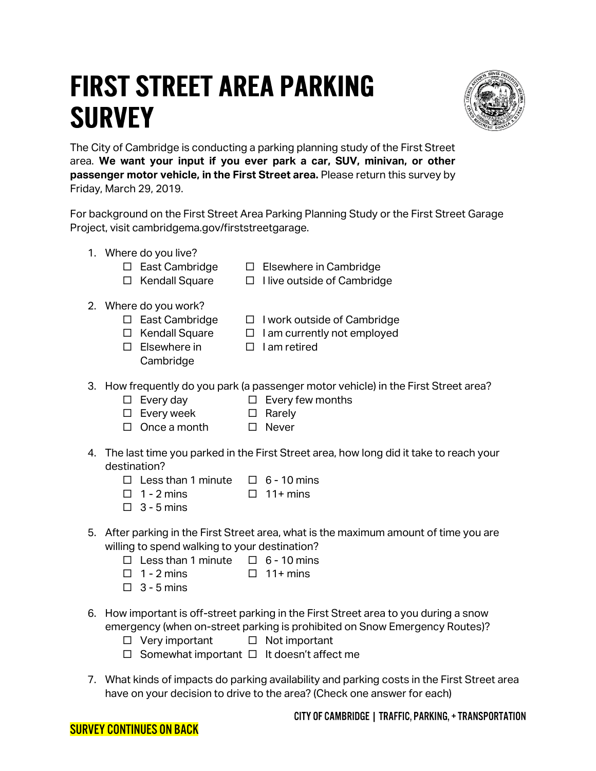## **FIRST STREET AREA PARKING SURVEY**



The City of Cambridge is conducting a parking planning study of the First Street area. **We want your input if you ever park a car, SUV, minivan, or other passenger motor vehicle, in the First Street area.** Please return this survey by Friday, March 29, 2019.

For background on the First Street Area Parking Planning Study or the First Street Garage Project, visit cambridgema.gov/firststreetgarage.

- 1. Where do you live?
	- $\square$  East Cambridge □ Kendall Square
- $\square$  Elsewhere in Cambridge  $\Box$  I live outside of Cambridge
- 2. Where do you work?
	- □ East Cambridge  $\Box$  I work outside of Cambridge
	- $\Box$  Kendall Square
		- $\Box$  I am currently not employed
	- $\square$  Elsewhere in **Cambridge**
- $\Box$  I am retired
- 3. How frequently do you park (a passenger motor vehicle) in the First Street area?
	- $\square$  Every few months
	- □ Every week □ Rarely
	- □ Once a month □ Never
- 4. The last time you parked in the First Street area, how long did it take to reach your destination?
	- $\Box$  Less than 1 minute  $\Box$  6 10 mins
	- $\Box$  1 2 mins  $\Box$  11+ mins
	- $\Box$  3 5 mins

 $\square$  Every day

- 5. After parking in the First Street area, what is the maximum amount of time you are willing to spend walking to your destination?
	- $\Box$  Less than 1 minute  $\Box$  6 10 mins
	- $\Box$  1 2 mins  $\Box$  11+ mins
	- $\Box$  3 5 mins
- 6. How important is off-street parking in the First Street area to you during a snow emergency (when on-street parking is prohibited on Snow Emergency Routes)?
	- □ Very important  $\Box$  Not important
	- $\Box$  Somewhat important  $\Box$  It doesn't affect me
- 7. What kinds of impacts do parking availability and parking costs in the First Street area have on your decision to drive to the area? (Check one answer for each)